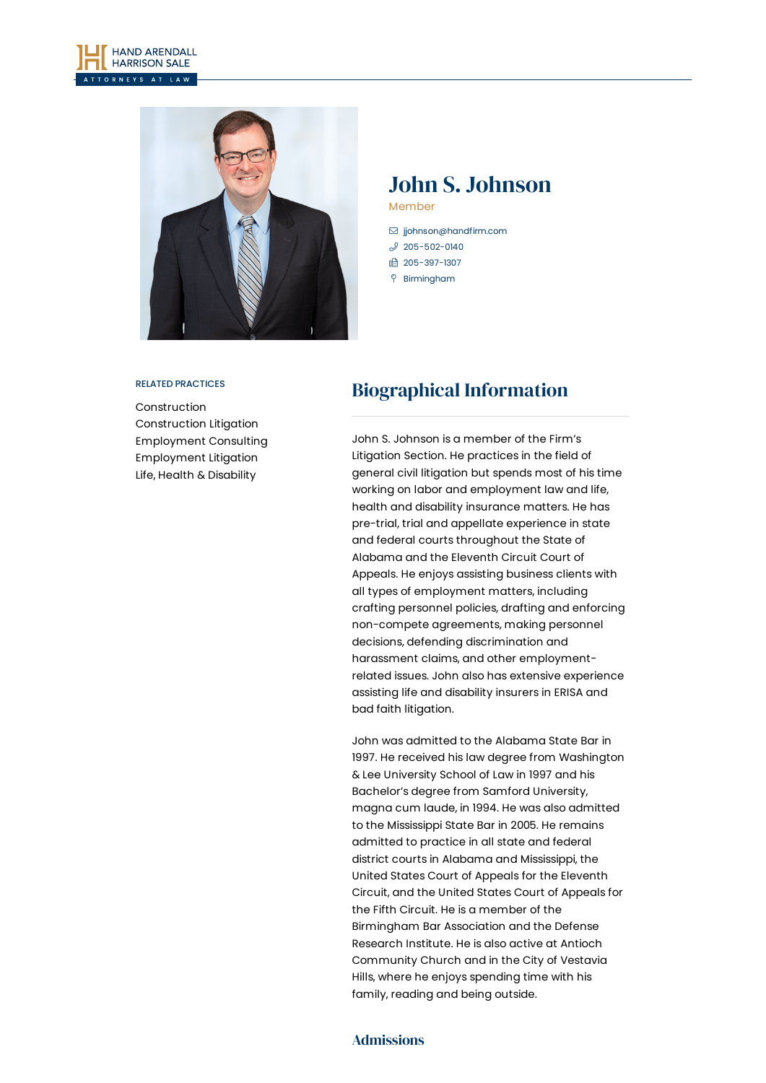



# John S. Johnson

Member

- [jjohnson@handfirm.com](mailto:jjohnson@handfirm.com)  $$205 - 502 - 0140$
- 1 205-397-1307
- Birmingham

#### RELATED PRACTICES

[Construction](https://www.handfirm.com/practices/industries/construction/) [Construction](https://www.handfirm.com/practices/litigation/construction-litigation/) Litigation [Employment](https://www.handfirm.com/practices/business-services/employment-consulting/) Consulting [Employment](https://www.handfirm.com/practices/litigation/employment-litigation/) Litigation Life, Health & [Disability](https://www.handfirm.com/practices/litigation/life-health-disability/)

# Biographical Information

John S. Johnson is a member of the Firm's Litigation Section. He practices in the field of general civil litigation but spends most of his time working on labor and employment law and life, health and disability insurance matters. He has pre-trial, trial and appellate experience in state and federal courts throughout the State of Alabama and the Eleventh Circuit Court of Appeals. He enjoys assisting business clients with all types of employment matters, including crafting personnel policies, drafting and enforcing non-compete agreements, making personnel decisions, defending discrimination and harassment claims, and other employmentrelated issues. John also has extensive experience assisting life and disability insurers in ERISA and bad faith litigation.

John was admitted to the Alabama State Bar in 1997. He received his law degree from Washington & Lee University School of Law in 1997 and his Bachelor's degree from Samford University, magna cum laude, in 1994. He was also admitted to the Mississippi State Bar in 2005. He remains admitted to practice in all state and federal district courts in Alabama and Mississippi, the United States Court of Appeals for the Eleventh Circuit, and the United States Court of Appeals for the Fifth Circuit. He is a member of the Birmingham Bar Association and the Defense Research Institute. He is also active at Antioch Community Church and in the City of Vestavia Hills, where he enjoys spending time with his family, reading and being outside.

## Admissions